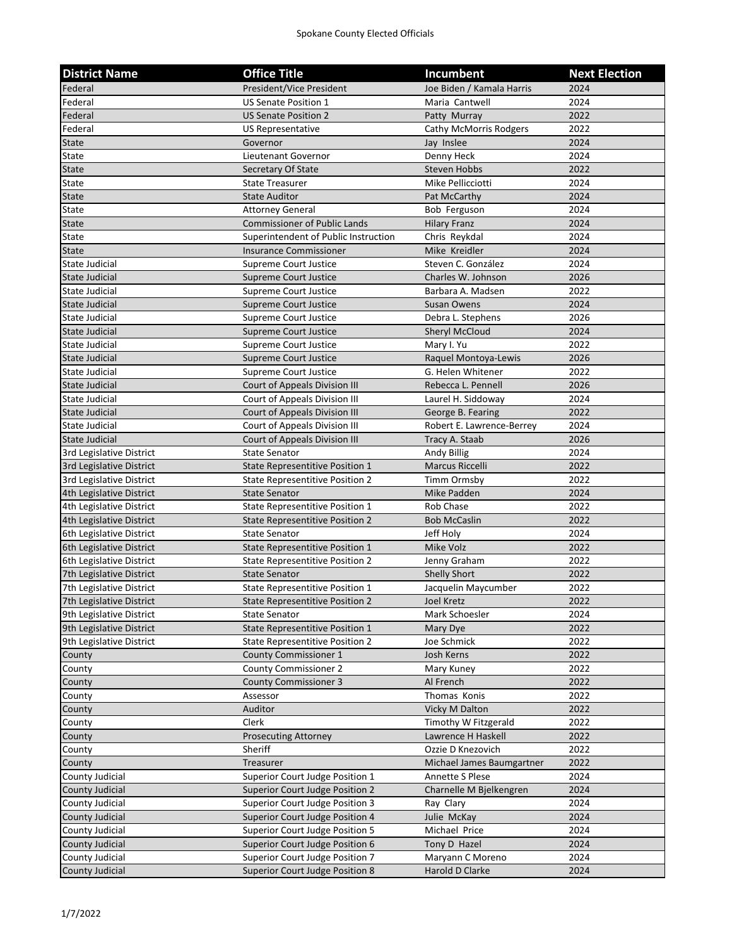| <b>District Name</b>                                 | <b>Office Title</b>                                            | Incumbent                 | <b>Next Election</b> |
|------------------------------------------------------|----------------------------------------------------------------|---------------------------|----------------------|
| Federal                                              | President/Vice President                                       | Joe Biden / Kamala Harris | 2024                 |
| Federal                                              | <b>US Senate Position 1</b>                                    | Maria Cantwell            | 2024                 |
| Federal                                              | <b>US Senate Position 2</b>                                    | Patty Murray              | 2022                 |
| Federal                                              | US Representative                                              | Cathy McMorris Rodgers    | 2022                 |
| <b>State</b>                                         | Governor                                                       | Jay Inslee                | 2024                 |
| <b>State</b>                                         | Lieutenant Governor                                            | Denny Heck                | 2024                 |
| <b>State</b>                                         | Secretary Of State                                             | <b>Steven Hobbs</b>       | 2022                 |
| State                                                | <b>State Treasurer</b>                                         | Mike Pellicciotti         | 2024                 |
| <b>State</b>                                         | <b>State Auditor</b>                                           | Pat McCarthy              | 2024                 |
| State                                                | <b>Attorney General</b>                                        | Bob Ferguson              | 2024                 |
| <b>State</b>                                         | <b>Commissioner of Public Lands</b>                            | <b>Hilary Franz</b>       | 2024                 |
| State                                                | Superintendent of Public Instruction                           | Chris Reykdal             | 2024                 |
| <b>State</b>                                         | <b>Insurance Commissioner</b>                                  | Mike Kreidler             | 2024                 |
| State Judicial                                       | Supreme Court Justice                                          | Steven C. González        | 2024                 |
| State Judicial                                       | <b>Supreme Court Justice</b>                                   | Charles W. Johnson        | 2026                 |
| State Judicial                                       | Supreme Court Justice                                          | Barbara A. Madsen         | 2022                 |
| <b>State Judicial</b>                                | Supreme Court Justice                                          | Susan Owens               | 2024                 |
| State Judicial                                       | Supreme Court Justice                                          | Debra L. Stephens         | 2026                 |
| <b>State Judicial</b>                                | Supreme Court Justice                                          | <b>Sheryl McCloud</b>     | 2024                 |
| State Judicial                                       | Supreme Court Justice                                          | Mary I. Yu                | 2022                 |
| <b>State Judicial</b>                                | <b>Supreme Court Justice</b>                                   | Raquel Montoya-Lewis      | 2026                 |
| State Judicial                                       | Supreme Court Justice                                          | G. Helen Whitener         | 2022                 |
| State Judicial                                       | Court of Appeals Division III                                  | Rebecca L. Pennell        | 2026                 |
| State Judicial                                       | Court of Appeals Division III                                  | Laurel H. Siddoway        | 2024                 |
| <b>State Judicial</b>                                | Court of Appeals Division III                                  | George B. Fearing         | 2022                 |
| <b>State Judicial</b>                                | Court of Appeals Division III                                  | Robert E. Lawrence-Berrey | 2024                 |
| <b>State Judicial</b>                                | Court of Appeals Division III                                  | Tracy A. Staab            | 2026                 |
| 3rd Legislative District                             | <b>State Senator</b>                                           | Andy Billig               | 2024                 |
| 3rd Legislative District                             | State Representitive Position 1                                | Marcus Riccelli           | 2022                 |
| 3rd Legislative District                             | <b>State Representitive Position 2</b>                         | Timm Ormsby               | 2022                 |
| 4th Legislative District                             | <b>State Senator</b>                                           | Mike Padden               | 2024                 |
| 4th Legislative District                             | <b>State Representitive Position 1</b>                         | Rob Chase                 | 2022                 |
| 4th Legislative District                             | State Representitive Position 2                                | <b>Bob McCaslin</b>       | 2022                 |
| 6th Legislative District                             | <b>State Senator</b>                                           | Jeff Holy                 | 2024                 |
| 6th Legislative District                             | <b>State Representitive Position 1</b>                         | Mike Volz                 | 2022                 |
| 6th Legislative District                             | <b>State Representitive Position 2</b>                         | Jenny Graham              | 2022                 |
| 7th Legislative District                             | <b>State Senator</b>                                           | <b>Shelly Short</b>       | 2022                 |
| 7th Legislative District                             | State Representitive Position 1                                | Jacquelin Maycumber       | 2022                 |
| 7th Legislative District                             | <b>State Representitive Position 2</b>                         | Joel Kretz                | 2022                 |
| 9th Legislative District<br>9th Legislative District | <b>State Senator</b><br><b>State Representitive Position 1</b> | Mark Schoesler            | 2024<br>2022         |
| 9th Legislative District                             | <b>State Representitive Position 2</b>                         | Mary Dye<br>Joe Schmick   | 2022                 |
| County                                               | <b>County Commissioner 1</b>                                   | Josh Kerns                | 2022                 |
| County                                               | <b>County Commissioner 2</b>                                   | Mary Kuney                | 2022                 |
| County                                               | <b>County Commissioner 3</b>                                   | Al French                 | 2022                 |
| County                                               | Assessor                                                       | Thomas Konis              | 2022                 |
| County                                               | Auditor                                                        | Vicky M Dalton            | 2022                 |
| County                                               | Clerk                                                          | Timothy W Fitzgerald      | 2022                 |
| County                                               | <b>Prosecuting Attorney</b>                                    | Lawrence H Haskell        | 2022                 |
| County                                               | Sheriff                                                        | Ozzie D Knezovich         | 2022                 |
| County                                               | <b>Treasurer</b>                                               | Michael James Baumgartner | 2022                 |
| County Judicial                                      | Superior Court Judge Position 1                                | Annette S Plese           | 2024                 |
| County Judicial                                      | <b>Superior Court Judge Position 2</b>                         | Charnelle M Bjelkengren   | 2024                 |
| County Judicial                                      | Superior Court Judge Position 3                                | Ray Clary                 | 2024                 |
| County Judicial                                      | Superior Court Judge Position 4                                | Julie McKay               | 2024                 |
| County Judicial                                      | <b>Superior Court Judge Position 5</b>                         | Michael Price             | 2024                 |
| County Judicial                                      | Superior Court Judge Position 6                                | Tony D Hazel              | 2024                 |
| County Judicial                                      | Superior Court Judge Position 7                                | Maryann C Moreno          | 2024                 |
| <b>County Judicial</b>                               | <b>Superior Court Judge Position 8</b>                         | Harold D Clarke           | 2024                 |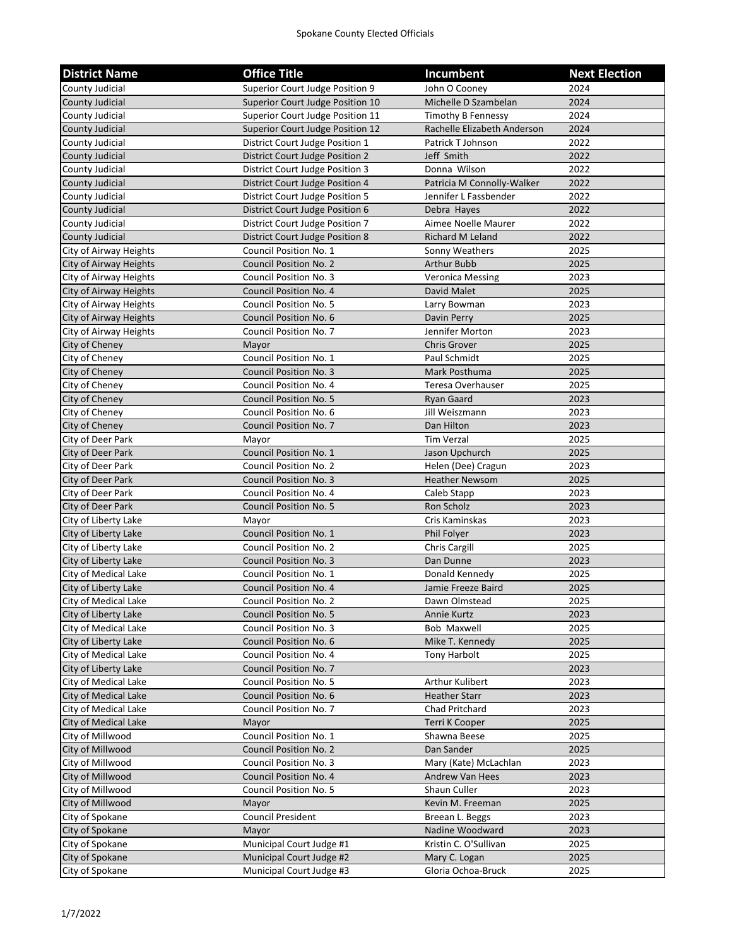| <b>District Name</b>   | <b>Office Title</b>                    | Incumbent                   | <b>Next Election</b> |
|------------------------|----------------------------------------|-----------------------------|----------------------|
| County Judicial        | Superior Court Judge Position 9        | John O Coonev               | 2024                 |
| County Judicial        | Superior Court Judge Position 10       | Michelle D Szambelan        | 2024                 |
| County Judicial        | Superior Court Judge Position 11       | Timothy B Fennessy          | 2024                 |
| <b>County Judicial</b> | Superior Court Judge Position 12       | Rachelle Elizabeth Anderson | 2024                 |
| County Judicial        | District Court Judge Position 1        | Patrick T Johnson           | 2022                 |
| County Judicial        | District Court Judge Position 2        | Jeff Smith                  | 2022                 |
| <b>County Judicial</b> | District Court Judge Position 3        | Donna Wilson                | 2022                 |
| County Judicial        | District Court Judge Position 4        | Patricia M Connolly-Walker  | 2022                 |
| County Judicial        | <b>District Court Judge Position 5</b> | Jennifer L Fassbender       | 2022                 |
| County Judicial        | District Court Judge Position 6        | Debra Hayes                 | 2022                 |
| County Judicial        | District Court Judge Position 7        | Aimee Noelle Maurer         | 2022                 |
| County Judicial        | <b>District Court Judge Position 8</b> | <b>Richard M Leland</b>     | 2022                 |
| City of Airway Heights | Council Position No. 1                 | Sonny Weathers              | 2025                 |
| City of Airway Heights | <b>Council Position No. 2</b>          | Arthur Bubb                 | 2025                 |
| City of Airway Heights | Council Position No. 3                 | <b>Veronica Messing</b>     | 2023                 |
| City of Airway Heights | Council Position No. 4                 | David Malet                 | 2025                 |
| City of Airway Heights | <b>Council Position No. 5</b>          | Larry Bowman                | 2023                 |
| City of Airway Heights | <b>Council Position No. 6</b>          | Davin Perry                 | 2025                 |
| City of Airway Heights | Council Position No. 7                 | Jennifer Morton             | 2023                 |
| City of Cheney         | Mayor                                  | <b>Chris Grover</b>         | 2025                 |
| City of Cheney         | Council Position No. 1                 | Paul Schmidt                | 2025                 |
| City of Cheney         | <b>Council Position No. 3</b>          | Mark Posthuma               | 2025                 |
| City of Cheney         | Council Position No. 4                 | Teresa Overhauser           | 2025                 |
| City of Cheney         | <b>Council Position No. 5</b>          | <b>Ryan Gaard</b>           | 2023                 |
| City of Cheney         | Council Position No. 6                 | Jill Weiszmann              | 2023                 |
| City of Cheney         | <b>Council Position No. 7</b>          | Dan Hilton                  | 2023                 |
| City of Deer Park      | Mayor                                  | <b>Tim Verzal</b>           | 2025                 |
| City of Deer Park      | <b>Council Position No. 1</b>          | Jason Upchurch              | 2025                 |
| City of Deer Park      | <b>Council Position No. 2</b>          | Helen (Dee) Cragun          | 2023                 |
| City of Deer Park      | <b>Council Position No. 3</b>          | <b>Heather Newsom</b>       | 2025                 |
| City of Deer Park      | Council Position No. 4                 | Caleb Stapp                 | 2023                 |
| City of Deer Park      | <b>Council Position No. 5</b>          | Ron Scholz                  | 2023                 |
| City of Liberty Lake   | Mayor                                  | Cris Kaminskas              | 2023                 |
| City of Liberty Lake   | <b>Council Position No. 1</b>          | Phil Folyer                 | 2023                 |
| City of Liberty Lake   | <b>Council Position No. 2</b>          | Chris Cargill               | 2025                 |
| City of Liberty Lake   | <b>Council Position No. 3</b>          | Dan Dunne                   | 2023                 |
| City of Medical Lake   | Council Position No. 1                 | Donald Kennedy              | 2025                 |
| City of Liberty Lake   | Council Position No. 4                 | Jamie Freeze Baird          | 2025                 |
| City of Medical Lake   | Council Position No. 2                 | Dawn Olmstead               | 2025                 |
| City of Liberty Lake   | <b>Council Position No. 5</b>          | Annie Kurtz                 | 2023                 |
| City of Medical Lake   | Council Position No. 3                 | Bob Maxwell                 | 2025                 |
| City of Liberty Lake   | Council Position No. 6                 | Mike T. Kennedy             | 2025                 |
| City of Medical Lake   | Council Position No. 4                 | Tony Harbolt                | 2025                 |
| City of Liberty Lake   | <b>Council Position No. 7</b>          |                             | 2023                 |
| City of Medical Lake   | Council Position No. 5                 | Arthur Kulibert             | 2023                 |
| City of Medical Lake   | Council Position No. 6                 | <b>Heather Starr</b>        | 2023                 |
| City of Medical Lake   | Council Position No. 7                 | Chad Pritchard              | 2023                 |
| City of Medical Lake   | Mayor                                  | Terri K Cooper              | 2025                 |
| City of Millwood       | Council Position No. 1                 | Shawna Beese                | 2025                 |
| City of Millwood       | <b>Council Position No. 2</b>          | Dan Sander                  | 2025                 |
| City of Millwood       | Council Position No. 3                 | Mary (Kate) McLachlan       | 2023                 |
| City of Millwood       | Council Position No. 4                 | <b>Andrew Van Hees</b>      | 2023                 |
| City of Millwood       | Council Position No. 5                 | Shaun Culler                | 2023                 |
| City of Millwood       | Mayor                                  | Kevin M. Freeman            | 2025                 |
| City of Spokane        | Council President                      | Breean L. Beggs             | 2023                 |
| City of Spokane        | Mayor                                  | Nadine Woodward             | 2023                 |
| City of Spokane        | Municipal Court Judge #1               | Kristin C. O'Sullivan       | 2025                 |
| City of Spokane        | Municipal Court Judge #2               | Mary C. Logan               | 2025                 |
| City of Spokane        | Municipal Court Judge #3               | Gloria Ochoa-Bruck          | 2025                 |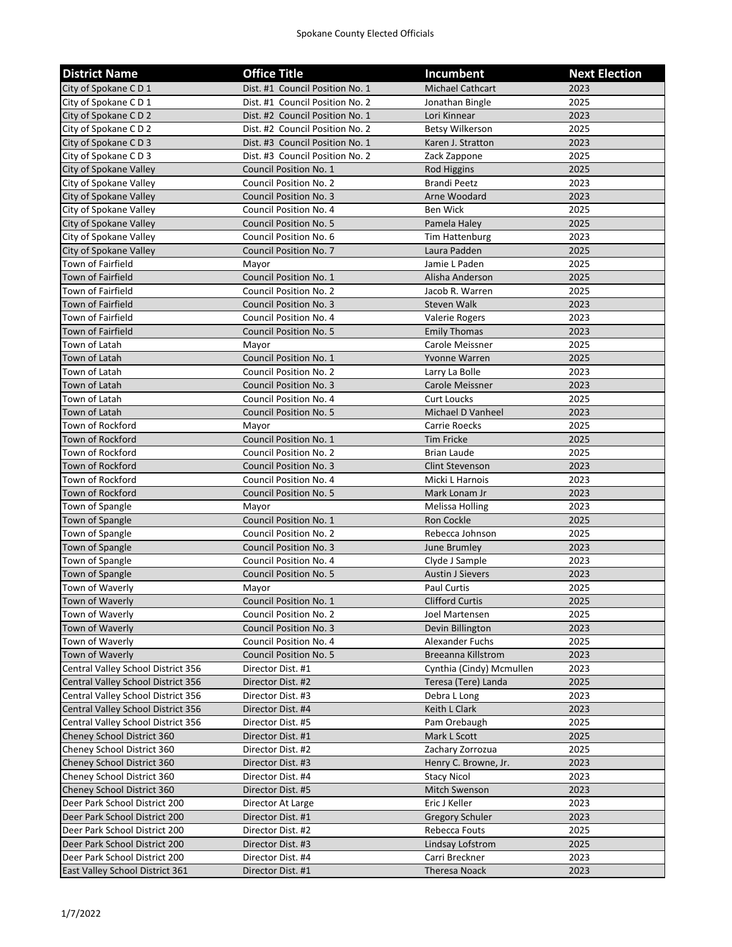| <b>District Name</b>               | <b>Office Title</b>             | <b>Incumbent</b>          | <b>Next Election</b> |
|------------------------------------|---------------------------------|---------------------------|----------------------|
| City of Spokane CD1                | Dist. #1 Council Position No. 1 | Michael Cathcart          | 2023                 |
| City of Spokane CD1                | Dist. #1 Council Position No. 2 | Jonathan Bingle           | 2025                 |
| City of Spokane CD 2               | Dist. #2 Council Position No. 1 | Lori Kinnear              | 2023                 |
| City of Spokane CD 2               | Dist. #2 Council Position No. 2 | <b>Betsy Wilkerson</b>    | 2025                 |
| City of Spokane CD3                | Dist. #3 Council Position No. 1 | Karen J. Stratton         | 2023                 |
| City of Spokane C D 3              | Dist. #3 Council Position No. 2 | Zack Zappone              | 2025                 |
| City of Spokane Valley             | <b>Council Position No. 1</b>   | Rod Higgins               | 2025                 |
| City of Spokane Valley             | Council Position No. 2          | <b>Brandi Peetz</b>       | 2023                 |
| City of Spokane Valley             | <b>Council Position No. 3</b>   | Arne Woodard              | 2023                 |
| City of Spokane Valley             | Council Position No. 4          | Ben Wick                  | 2025                 |
| City of Spokane Valley             | <b>Council Position No. 5</b>   | Pamela Haley              | 2025                 |
| City of Spokane Valley             | Council Position No. 6          | <b>Tim Hattenburg</b>     | 2023                 |
| City of Spokane Valley             | <b>Council Position No. 7</b>   | Laura Padden              | 2025                 |
| Town of Fairfield                  | Mayor                           | Jamie L Paden             | 2025                 |
| Town of Fairfield                  | Council Position No. 1          | Alisha Anderson           | 2025                 |
| Town of Fairfield                  | Council Position No. 2          | Jacob R. Warren           | 2025                 |
| <b>Town of Fairfield</b>           | <b>Council Position No. 3</b>   | <b>Steven Walk</b>        | 2023                 |
| <b>Town of Fairfield</b>           | Council Position No. 4          | Valerie Rogers            | 2023                 |
| <b>Town of Fairfield</b>           | <b>Council Position No. 5</b>   | <b>Emily Thomas</b>       | 2023                 |
| Town of Latah                      | Mayor                           | Carole Meissner           | 2025                 |
| Town of Latah                      | <b>Council Position No. 1</b>   | Yvonne Warren             | 2025                 |
| Town of Latah                      | Council Position No. 2          | Larry La Bolle            | 2023                 |
| Town of Latah                      | <b>Council Position No. 3</b>   | Carole Meissner           | 2023                 |
| Town of Latah                      | Council Position No. 4          | <b>Curt Loucks</b>        | 2025                 |
| Town of Latah                      | <b>Council Position No. 5</b>   | Michael D Vanheel         | 2023                 |
| Town of Rockford                   | Mayor                           | Carrie Roecks             | 2025                 |
| Town of Rockford                   | <b>Council Position No. 1</b>   | <b>Tim Fricke</b>         | 2025                 |
| Town of Rockford                   | Council Position No. 2          | Brian Laude               | 2025                 |
| Town of Rockford                   | <b>Council Position No. 3</b>   | <b>Clint Stevenson</b>    | 2023                 |
| Town of Rockford                   | Council Position No. 4          | Micki L Harnois           | 2023                 |
| Town of Rockford                   | <b>Council Position No. 5</b>   | Mark Lonam Jr             | 2023                 |
| Town of Spangle                    | Mayor                           | Melissa Holling           | 2023                 |
| Town of Spangle                    | Council Position No. 1          | Ron Cockle                | 2025                 |
| Town of Spangle                    | <b>Council Position No. 2</b>   | Rebecca Johnson           | 2025                 |
| Town of Spangle                    | <b>Council Position No. 3</b>   | June Brumley              | 2023                 |
| Town of Spangle                    | Council Position No. 4          | Clyde J Sample            | 2023                 |
| Town of Spangle                    | <b>Council Position No. 5</b>   | <b>Austin J Sievers</b>   | 2023                 |
| Town of Waverly                    | Mayor                           | Paul Curtis               | 2025                 |
| Town of Waverly                    | Council Position No. 1          | <b>Clifford Curtis</b>    | 2025                 |
| Town of Waverly                    | Council Position No. 2          | Joel Martensen            | 2025                 |
| Town of Waverly                    | <b>Council Position No. 3</b>   | Devin Billington          | 2023                 |
| Town of Waverly                    | Council Position No. 4          | Alexander Fuchs           | 2025                 |
| Town of Waverly                    | <b>Council Position No. 5</b>   | <b>Breeanna Killstrom</b> | 2023                 |
| Central Valley School District 356 | Director Dist. #1               | Cynthia (Cindy) Mcmullen  | 2023                 |
| Central Valley School District 356 | Director Dist. #2               | Teresa (Tere) Landa       | 2025                 |
| Central Valley School District 356 | Director Dist. #3               | Debra L Long              | 2023                 |
| Central Valley School District 356 | Director Dist. #4               | Keith L Clark             | 2023                 |
| Central Valley School District 356 | Director Dist. #5               | Pam Orebaugh              | 2025                 |
| Cheney School District 360         | Director Dist. #1               | Mark L Scott              | 2025                 |
| Cheney School District 360         | Director Dist. #2               | Zachary Zorrozua          | 2025                 |
| Cheney School District 360         | Director Dist. #3               | Henry C. Browne, Jr.      | 2023                 |
| Cheney School District 360         | Director Dist. #4               | <b>Stacy Nicol</b>        | 2023                 |
| Cheney School District 360         | Director Dist. #5               | Mitch Swenson             | 2023                 |
| Deer Park School District 200      | Director At Large               | Eric J Keller             | 2023                 |
| Deer Park School District 200      | Director Dist. #1               | <b>Gregory Schuler</b>    | 2023                 |
| Deer Park School District 200      | Director Dist. #2               | Rebecca Fouts             | 2025                 |
| Deer Park School District 200      | Director Dist. #3               | Lindsay Lofstrom          | 2025                 |
| Deer Park School District 200      | Director Dist. #4               | Carri Breckner            | 2023                 |
| East Valley School District 361    | Director Dist. #1               | Theresa Noack             | 2023                 |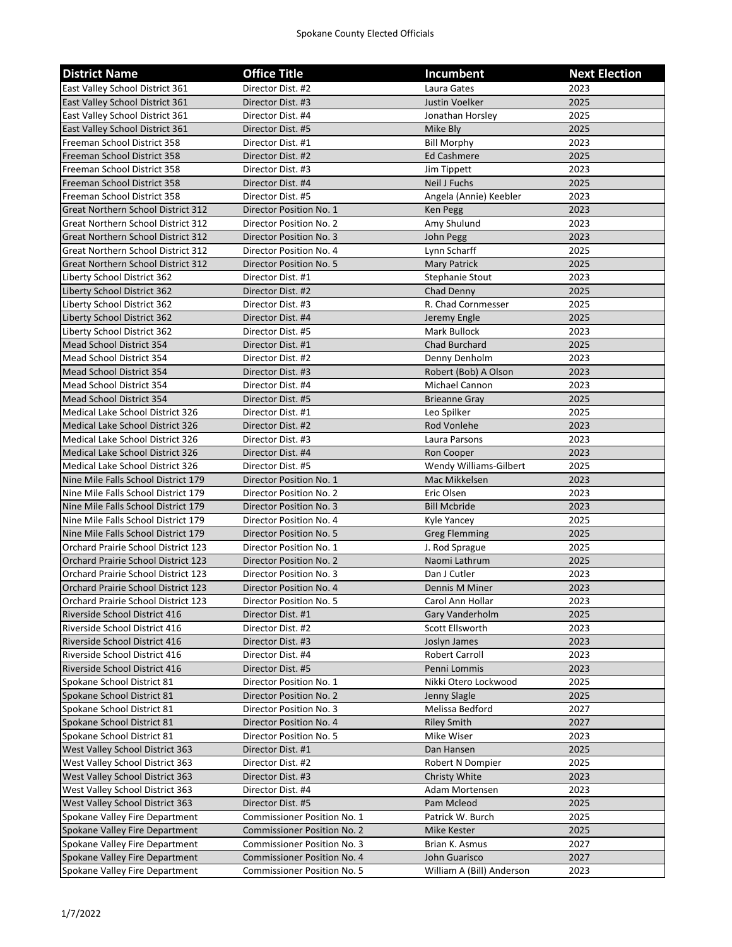## Spokane County Elected Officials

| <b>District Name</b>                                             | <b>Office Title</b>                                                      | Incumbent                                  | <b>Next Election</b> |
|------------------------------------------------------------------|--------------------------------------------------------------------------|--------------------------------------------|----------------------|
| East Valley School District 361                                  | Director Dist. #2                                                        | Laura Gates                                | 2023                 |
| East Valley School District 361                                  | Director Dist. #3                                                        | Justin Voelker                             | 2025                 |
| East Valley School District 361                                  | Director Dist. #4                                                        | Jonathan Horsley                           | 2025                 |
| East Valley School District 361                                  | Director Dist. #5                                                        | Mike Bly                                   | 2025                 |
| Freeman School District 358                                      | Director Dist. #1                                                        | <b>Bill Morphy</b>                         | 2023                 |
| Freeman School District 358                                      | Director Dist. #2                                                        | <b>Ed Cashmere</b>                         | 2025                 |
| Freeman School District 358                                      | Director Dist. #3                                                        | Jim Tippett                                | 2023                 |
| Freeman School District 358                                      | Director Dist. #4                                                        | Neil J Fuchs                               | 2025                 |
| Freeman School District 358                                      | Director Dist. #5                                                        | Angela (Annie) Keebler                     | 2023                 |
| <b>Great Northern School District 312</b>                        | Director Position No. 1                                                  | Ken Pegg                                   | 2023                 |
| <b>Great Northern School District 312</b>                        | Director Position No. 2                                                  | Amy Shulund                                | 2023                 |
| <b>Great Northern School District 312</b>                        | Director Position No. 3                                                  | John Pegg                                  | 2023                 |
| <b>Great Northern School District 312</b>                        | Director Position No. 4                                                  | Lynn Scharff                               | 2025                 |
| <b>Great Northern School District 312</b>                        | Director Position No. 5                                                  | Mary Patrick                               | 2025                 |
| Liberty School District 362                                      | Director Dist. #1                                                        | Stephanie Stout                            | 2023                 |
| Liberty School District 362                                      | Director Dist. #2                                                        | Chad Denny                                 | 2025                 |
| Liberty School District 362                                      | Director Dist. #3                                                        | R. Chad Cornmesser                         | 2025                 |
| Liberty School District 362                                      | Director Dist. #4                                                        | Jeremy Engle                               | 2025                 |
| Liberty School District 362                                      | Director Dist. #5                                                        | Mark Bullock                               | 2023                 |
| Mead School District 354                                         | Director Dist. #1                                                        | Chad Burchard                              | 2025                 |
| Mead School District 354                                         | Director Dist. #2                                                        | Denny Denholm                              | 2023                 |
| <b>Mead School District 354</b>                                  | Director Dist. #3                                                        | Robert (Bob) A Olson                       | 2023                 |
| Mead School District 354                                         | Director Dist. #4                                                        | Michael Cannon                             | 2023                 |
| Mead School District 354                                         | Director Dist. #5                                                        | <b>Brieanne Gray</b>                       | 2025                 |
| Medical Lake School District 326                                 | Director Dist. #1                                                        | Leo Spilker                                | 2025                 |
| Medical Lake School District 326                                 | Director Dist. #2                                                        | Rod Vonlehe                                | 2023                 |
| Medical Lake School District 326                                 | Director Dist. #3                                                        | Laura Parsons                              | 2023                 |
| Medical Lake School District 326                                 | Director Dist. #4                                                        | Ron Cooper                                 | 2023                 |
| Medical Lake School District 326                                 | Director Dist. #5                                                        | Wendy Williams-Gilbert                     | 2025                 |
| Nine Mile Falls School District 179                              | Director Position No. 1                                                  | Mac Mikkelsen                              | 2023                 |
| Nine Mile Falls School District 179                              | Director Position No. 2                                                  | Eric Olsen                                 | 2023                 |
| Nine Mile Falls School District 179                              | Director Position No. 3                                                  | <b>Bill Mcbride</b>                        | 2023                 |
| Nine Mile Falls School District 179                              | Director Position No. 4                                                  | Kyle Yancey                                | 2025                 |
| Nine Mile Falls School District 179                              | Director Position No. 5                                                  | <b>Greg Flemming</b>                       | 2025                 |
| Orchard Prairie School District 123                              | Director Position No. 1                                                  | J. Rod Sprague                             | 2025                 |
| Orchard Prairie School District 123                              | Director Position No. 2                                                  | Naomi Lathrum                              | 2025                 |
| Orchard Prairie School District 123                              | Director Position No. 3                                                  | Dan J Cutler                               | 2023                 |
| Orchard Prairie School District 123                              | Director Position No. 4                                                  | Dennis M Miner                             | 2023                 |
| Orchard Prairie School District 123                              | Director Position No. 5                                                  | Carol Ann Hollar                           | 2023                 |
| Riverside School District 416                                    | Director Dist. #1                                                        | Gary Vanderholm                            | 2025                 |
| Riverside School District 416                                    | Director Dist. #2                                                        | Scott Ellsworth                            | 2023                 |
| Riverside School District 416                                    | Director Dist. #3                                                        | Joslyn James                               | 2023                 |
| Riverside School District 416                                    | Director Dist. #4                                                        | <b>Robert Carroll</b>                      | 2023                 |
| Riverside School District 416                                    | Director Dist. #5                                                        | Penni Lommis                               | 2023                 |
| Spokane School District 81                                       | Director Position No. 1                                                  | Nikki Otero Lockwood                       | 2025                 |
| Spokane School District 81                                       | Director Position No. 2                                                  | Jenny Slagle                               | 2025                 |
| Spokane School District 81                                       | Director Position No. 3                                                  | Melissa Bedford                            | 2027                 |
| Spokane School District 81                                       | Director Position No. 4                                                  | <b>Riley Smith</b>                         | 2027                 |
| Spokane School District 81                                       | Director Position No. 5                                                  | Mike Wiser                                 | 2023                 |
| West Valley School District 363                                  | Director Dist. #1                                                        | Dan Hansen                                 | 2025                 |
| West Valley School District 363                                  | Director Dist. #2                                                        | Robert N Dompier                           | 2025                 |
| West Valley School District 363                                  | Director Dist. #3                                                        | Christy White                              | 2023                 |
| West Valley School District 363                                  | Director Dist. #4                                                        | Adam Mortensen                             | 2023                 |
| West Valley School District 363                                  | Director Dist. #5                                                        | Pam Mcleod                                 | 2025                 |
| Spokane Valley Fire Department                                   | <b>Commissioner Position No. 1</b>                                       | Patrick W. Burch                           | 2025                 |
| Spokane Valley Fire Department                                   | <b>Commissioner Position No. 2</b>                                       | Mike Kester                                | 2025                 |
| Spokane Valley Fire Department                                   | <b>Commissioner Position No. 3</b>                                       | Brian K. Asmus                             | 2027                 |
| Spokane Valley Fire Department<br>Spokane Valley Fire Department | <b>Commissioner Position No. 4</b><br><b>Commissioner Position No. 5</b> | John Guarisco<br>William A (Bill) Anderson | 2027<br>2023         |
|                                                                  |                                                                          |                                            |                      |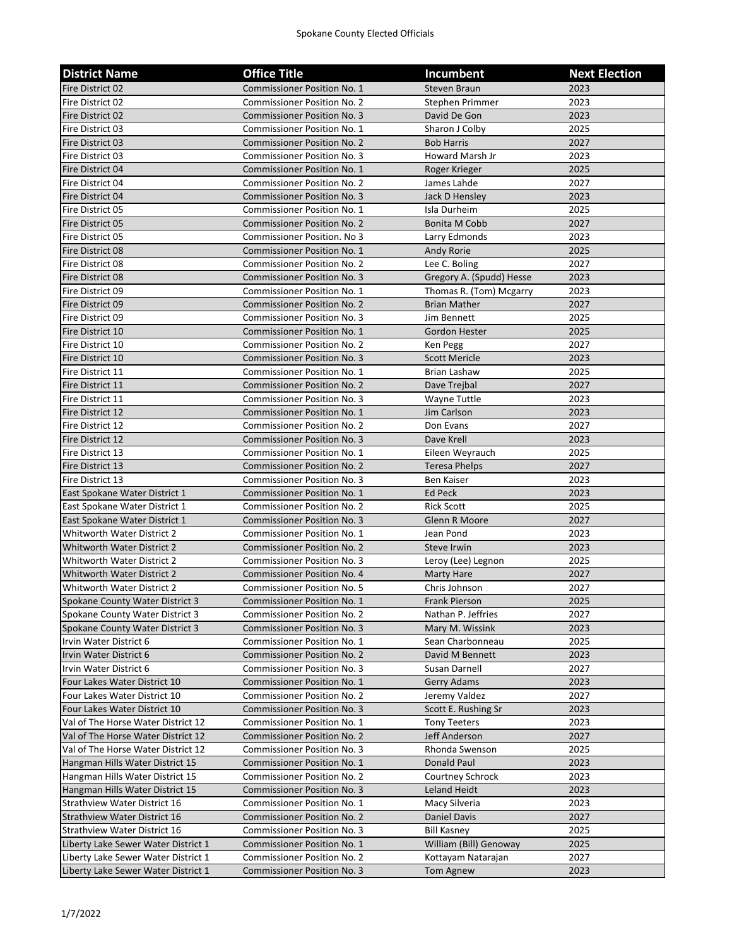| <b>District Name</b>                | <b>Office Title</b>                | Incumbent                | <b>Next Election</b> |
|-------------------------------------|------------------------------------|--------------------------|----------------------|
| Fire District 02                    | <b>Commissioner Position No. 1</b> | <b>Steven Braun</b>      | 2023                 |
| Fire District 02                    | <b>Commissioner Position No. 2</b> | Stephen Primmer          | 2023                 |
| Fire District 02                    | <b>Commissioner Position No. 3</b> | David De Gon             | 2023                 |
| Fire District 03                    | <b>Commissioner Position No. 1</b> | Sharon J Colby           | 2025                 |
| Fire District 03                    | <b>Commissioner Position No. 2</b> | <b>Bob Harris</b>        | 2027                 |
| Fire District 03                    | <b>Commissioner Position No. 3</b> | Howard Marsh Jr          | 2023                 |
| Fire District 04                    | <b>Commissioner Position No. 1</b> | Roger Krieger            | 2025                 |
| Fire District 04                    | <b>Commissioner Position No. 2</b> | James Lahde              | 2027                 |
| Fire District 04                    | <b>Commissioner Position No. 3</b> | Jack D Hensley           | 2023                 |
| Fire District 05                    | <b>Commissioner Position No. 1</b> | Isla Durheim             | 2025                 |
| Fire District 05                    | <b>Commissioner Position No. 2</b> | Bonita M Cobb            | 2027                 |
| Fire District 05                    | <b>Commissioner Position. No 3</b> | Larry Edmonds            | 2023                 |
| Fire District 08                    | <b>Commissioner Position No. 1</b> | Andy Rorie               | 2025                 |
| Fire District 08                    | <b>Commissioner Position No. 2</b> | Lee C. Boling            | 2027                 |
| Fire District 08                    | <b>Commissioner Position No. 3</b> | Gregory A. (Spudd) Hesse | 2023                 |
| Fire District 09                    | Commissioner Position No. 1        | Thomas R. (Tom) Mcgarry  | 2023                 |
| Fire District 09                    | <b>Commissioner Position No. 2</b> | <b>Brian Mather</b>      | 2027                 |
| Fire District 09                    | <b>Commissioner Position No. 3</b> | Jim Bennett              | 2025                 |
| Fire District 10                    | <b>Commissioner Position No. 1</b> | Gordon Hester            | 2025                 |
| Fire District 10                    | <b>Commissioner Position No. 2</b> | Ken Pegg                 | 2027                 |
| Fire District 10                    | <b>Commissioner Position No. 3</b> | <b>Scott Mericle</b>     | 2023                 |
| Fire District 11                    | Commissioner Position No. 1        | Brian Lashaw             | 2025                 |
| Fire District 11                    | <b>Commissioner Position No. 2</b> | Dave Trejbal             | 2027                 |
| Fire District 11                    | <b>Commissioner Position No. 3</b> | Wayne Tuttle             | 2023                 |
| Fire District 12                    | <b>Commissioner Position No. 1</b> | Jim Carlson              | 2023                 |
| Fire District 12                    | <b>Commissioner Position No. 2</b> | Don Evans                | 2027                 |
| Fire District 12                    | <b>Commissioner Position No. 3</b> | Dave Krell               | 2023                 |
| Fire District 13                    | <b>Commissioner Position No. 1</b> | Eileen Weyrauch          | 2025                 |
| Fire District 13                    | <b>Commissioner Position No. 2</b> | <b>Teresa Phelps</b>     | 2027                 |
| Fire District 13                    | <b>Commissioner Position No. 3</b> | <b>Ben Kaiser</b>        | 2023                 |
| East Spokane Water District 1       | <b>Commissioner Position No. 1</b> | Ed Peck                  | 2023                 |
| East Spokane Water District 1       | <b>Commissioner Position No. 2</b> | <b>Rick Scott</b>        | 2025                 |
| East Spokane Water District 1       | <b>Commissioner Position No. 3</b> | Glenn R Moore            | 2027                 |
| Whitworth Water District 2          | <b>Commissioner Position No. 1</b> | Jean Pond                | 2023                 |
| Whitworth Water District 2          | <b>Commissioner Position No. 2</b> | Steve Irwin              | 2023                 |
| Whitworth Water District 2          | Commissioner Position No. 3        | Leroy (Lee) Legnon       | 2025                 |
| <b>Whitworth Water District 2</b>   | <b>Commissioner Position No. 4</b> | <b>Marty Hare</b>        | 2027                 |
| Whitworth Water District 2          | <b>Commissioner Position No. 5</b> | Chris Johnson            | 2027                 |
| Spokane County Water District 3     | Commissioner Position No. 1        | Frank Pierson            | 2025                 |
| Spokane County Water District 3     | <b>Commissioner Position No. 2</b> | Nathan P. Jeffries       | 2027                 |
| Spokane County Water District 3     | <b>Commissioner Position No. 3</b> | Mary M. Wissink          | 2023                 |
| Irvin Water District 6              | Commissioner Position No. 1        | Sean Charbonneau         | 2025                 |
| Irvin Water District 6              | <b>Commissioner Position No. 2</b> | David M Bennett          | 2023                 |
| Irvin Water District 6              | <b>Commissioner Position No. 3</b> | Susan Darnell            | 2027                 |
| Four Lakes Water District 10        | <b>Commissioner Position No. 1</b> | <b>Gerry Adams</b>       | 2023                 |
| Four Lakes Water District 10        | <b>Commissioner Position No. 2</b> | Jeremy Valdez            | 2027                 |
| Four Lakes Water District 10        | <b>Commissioner Position No. 3</b> | Scott E. Rushing Sr      | 2023                 |
| Val of The Horse Water District 12  | Commissioner Position No. 1        | <b>Tony Teeters</b>      | 2023                 |
| Val of The Horse Water District 12  | <b>Commissioner Position No. 2</b> | Jeff Anderson            | 2027                 |
| Val of The Horse Water District 12  | <b>Commissioner Position No. 3</b> | Rhonda Swenson           | 2025                 |
| Hangman Hills Water District 15     | <b>Commissioner Position No. 1</b> | Donald Paul              | 2023                 |
| Hangman Hills Water District 15     | <b>Commissioner Position No. 2</b> | Courtney Schrock         | 2023                 |
| Hangman Hills Water District 15     | <b>Commissioner Position No. 3</b> | Leland Heidt             | 2023                 |
| <b>Strathview Water District 16</b> | Commissioner Position No. 1        | Macy Silveria            | 2023                 |
| <b>Strathview Water District 16</b> | <b>Commissioner Position No. 2</b> | Daniel Davis             | 2027                 |
| Strathview Water District 16        | <b>Commissioner Position No. 3</b> | <b>Bill Kasney</b>       | 2025                 |
| Liberty Lake Sewer Water District 1 | <b>Commissioner Position No. 1</b> | William (Bill) Genoway   | 2025                 |
| Liberty Lake Sewer Water District 1 | <b>Commissioner Position No. 2</b> | Kottayam Natarajan       | 2027                 |
| Liberty Lake Sewer Water District 1 | <b>Commissioner Position No. 3</b> | Tom Agnew                | 2023                 |